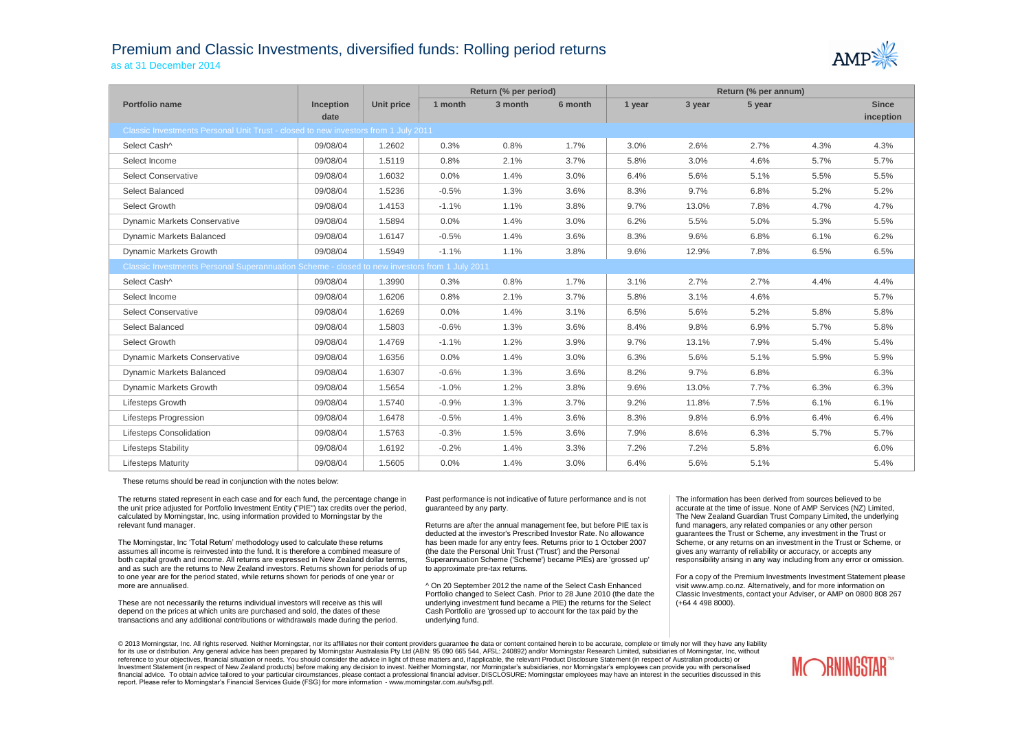## Premium and Classic Investments, diversified funds: Rolling period returns

as at 31 December 2014



|                                                                                               |                  |            | Return (% per period) |         |         | Return (% per annum) |        |        |      |              |  |
|-----------------------------------------------------------------------------------------------|------------------|------------|-----------------------|---------|---------|----------------------|--------|--------|------|--------------|--|
| Portfolio name                                                                                | <b>Inception</b> | Unit price | 1 month               | 3 month | 6 month | 1 year               | 3 year | 5 year |      | <b>Since</b> |  |
|                                                                                               | date             |            |                       |         |         |                      |        |        |      | inception    |  |
| Classic Investments Personal Unit Trust - closed to new investors from 1 July 2011            |                  |            |                       |         |         |                      |        |        |      |              |  |
| Select Cash^                                                                                  | 09/08/04         | 1.2602     | 0.3%                  | 0.8%    | 1.7%    | 3.0%                 | 2.6%   | 2.7%   | 4.3% | 4.3%         |  |
| Select Income                                                                                 | 09/08/04         | 1.5119     | 0.8%                  | 2.1%    | 3.7%    | 5.8%                 | 3.0%   | 4.6%   | 5.7% | 5.7%         |  |
| <b>Select Conservative</b>                                                                    | 09/08/04         | 1.6032     | 0.0%                  | 1.4%    | 3.0%    | 6.4%                 | 5.6%   | 5.1%   | 5.5% | 5.5%         |  |
| Select Balanced                                                                               | 09/08/04         | 1.5236     | $-0.5%$               | 1.3%    | 3.6%    | 8.3%                 | 9.7%   | 6.8%   | 5.2% | 5.2%         |  |
| Select Growth                                                                                 | 09/08/04         | 1.4153     | $-1.1%$               | 1.1%    | 3.8%    | 9.7%                 | 13.0%  | 7.8%   | 4.7% | 4.7%         |  |
| <b>Dynamic Markets Conservative</b>                                                           | 09/08/04         | 1.5894     | 0.0%                  | 1.4%    | 3.0%    | 6.2%                 | 5.5%   | 5.0%   | 5.3% | 5.5%         |  |
| Dynamic Markets Balanced                                                                      | 09/08/04         | 1.6147     | $-0.5%$               | 1.4%    | 3.6%    | 8.3%                 | 9.6%   | 6.8%   | 6.1% | 6.2%         |  |
| Dynamic Markets Growth                                                                        | 09/08/04         | 1.5949     | $-1.1%$               | 1.1%    | 3.8%    | 9.6%                 | 12.9%  | 7.8%   | 6.5% | 6.5%         |  |
| Classic Investments Personal Superannuation Scheme - closed to new investors from 1 July 2011 |                  |            |                       |         |         |                      |        |        |      |              |  |
| Select Cash^                                                                                  | 09/08/04         | 1.3990     | 0.3%                  | 0.8%    | 1.7%    | 3.1%                 | 2.7%   | 2.7%   | 4.4% | 4.4%         |  |
| Select Income                                                                                 | 09/08/04         | 1.6206     | 0.8%                  | 2.1%    | 3.7%    | 5.8%                 | 3.1%   | 4.6%   |      | 5.7%         |  |
| <b>Select Conservative</b>                                                                    | 09/08/04         | 1.6269     | 0.0%                  | 1.4%    | 3.1%    | 6.5%                 | 5.6%   | 5.2%   | 5.8% | 5.8%         |  |
| Select Balanced                                                                               | 09/08/04         | 1.5803     | $-0.6%$               | 1.3%    | 3.6%    | 8.4%                 | 9.8%   | 6.9%   | 5.7% | 5.8%         |  |
| Select Growth                                                                                 | 09/08/04         | 1.4769     | $-1.1%$               | 1.2%    | 3.9%    | 9.7%                 | 13.1%  | 7.9%   | 5.4% | 5.4%         |  |
| <b>Dynamic Markets Conservative</b>                                                           | 09/08/04         | 1.6356     | 0.0%                  | 1.4%    | 3.0%    | 6.3%                 | 5.6%   | 5.1%   | 5.9% | 5.9%         |  |
| <b>Dynamic Markets Balanced</b>                                                               | 09/08/04         | 1.6307     | $-0.6%$               | 1.3%    | 3.6%    | 8.2%                 | 9.7%   | 6.8%   |      | 6.3%         |  |
| Dynamic Markets Growth                                                                        | 09/08/04         | 1.5654     | $-1.0%$               | 1.2%    | 3.8%    | 9.6%                 | 13.0%  | 7.7%   | 6.3% | 6.3%         |  |
| Lifesteps Growth                                                                              | 09/08/04         | 1.5740     | $-0.9%$               | 1.3%    | 3.7%    | 9.2%                 | 11.8%  | 7.5%   | 6.1% | 6.1%         |  |
| Lifesteps Progression                                                                         | 09/08/04         | 1.6478     | $-0.5%$               | 1.4%    | 3.6%    | 8.3%                 | 9.8%   | 6.9%   | 6.4% | 6.4%         |  |
| Lifesteps Consolidation                                                                       | 09/08/04         | 1.5763     | $-0.3%$               | 1.5%    | 3.6%    | 7.9%                 | 8.6%   | 6.3%   | 5.7% | 5.7%         |  |
| <b>Lifesteps Stability</b>                                                                    | 09/08/04         | 1.6192     | $-0.2%$               | 1.4%    | 3.3%    | 7.2%                 | 7.2%   | 5.8%   |      | 6.0%         |  |
| <b>Lifesteps Maturity</b>                                                                     | 09/08/04         | 1.5605     | 0.0%                  | 1.4%    | 3.0%    | 6.4%                 | 5.6%   | 5.1%   |      | 5.4%         |  |

These returns should be read in conjunction with the notes below:

The returns stated represent in each case and for each fund, the percentage change in the unit price adjusted for Portfolio Investment Entity ("PIE") tax credits over the period, calculated by Morningstar, Inc, using information provided to Morningstar by the relevant fund manager.

The Morningstar, Inc 'Total Return' methodology used to calculate these returns assumes all income is reinvested into the fund. It is therefore a combined measure of both capital growth and income. All returns are expressed in New Zealand dollar terms, and as such are the returns to New Zealand investors. Returns shown for periods of up to one year are for the period stated, while returns shown for periods of one year or more are annualised.

These are not necessarily the returns individual investors will receive as this will depend on the prices at which units are purchased and sold, the dates of these transactions and any additional contributions or withdrawals made during the period.

Past performance is not indicative of future performance and is not guaranteed by any party.

Returns are after the annual management fee, but before PIE tax is deducted at the investor's Prescribed Investor Rate. No allowance has been made for any entry fees. Returns prior to 1 October 2007 (the date the Personal Unit Trust ('Trust') and the Personal Superannuation Scheme ('Scheme') became PIEs) are 'grossed up' to approximate pre-tax returns.

^ On 20 September 2012 the name of the Select Cash Enhanced Portfolio changed to Select Cash. Prior to 28 June 2010 (the date the underlying investment fund became a PIE) the returns for the Select Cash Portfolio are 'grossed up' to account for the tax paid by the underlying fund.

The information has been derived from sources believed to be accurate at the time of issue. None of AMP Services (NZ) Limited, The New Zealand Guardian Trust Company Limited, the underlying fund managers, any related companies or any other person guarantees the Trust or Scheme, any investment in the Trust or Scheme, or any returns on an investment in the Trust or Scheme, or gives any warranty of reliability or accuracy, or accepts any responsibility arising in any way including from any error or omission.

For a copy of the Premium Investments Investment Statement please visit www.amp.co.nz. Alternatively, and for more information on Classic Investments, contact your Adviser, or AMP on 0800 808 267 (+64 4 498 8000).

© 2013 Morningstar, Inc. All rights reserved. Neither Morningstar, nor its affiliates nor their content providers quarantee the data or content contained herein to be accurate, complete or timely nor will they have any lia for its use or distribution. Any general advice has been prepared by Morningstar Australasia Pty Ltd (ABN: 95 090 665 544, AFSL: 240892) and/or Morningstar Research Limited, subsidiaries of Morningstar, Inc, without reference to your objectives, financial situation or needs. You should consider the advice in light of these matters and, if applicable, the relevant Product Disclosure Statement (in respect of Australian products) or Investment Statement (in respect of New Zealand products) before making any decision to invest. Neither Morningstar, nor Morningstar's subsidiaries, nor Morningstar's employees can provide you with personalised financial advice. To obtain advice tailored to your particular circumstances, please contact a professional financial adviser. DISCLOSURE: Morningstar employees may have an interest in the securities discussed in this report. Please refer to Morningstar's Financial Services Guide (FSG) for more information - www.morningstar.com.au/s/fsg.pdf.